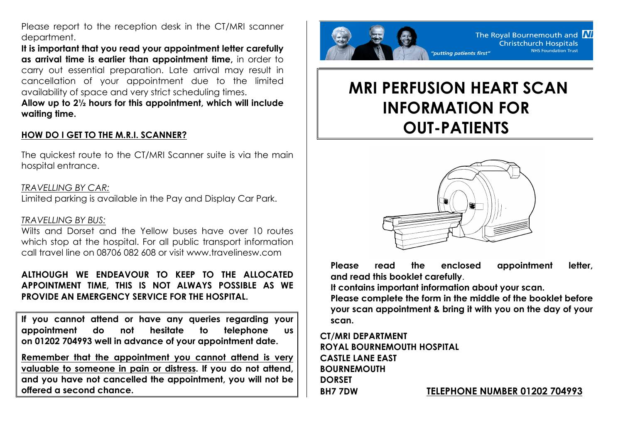Please report to the reception desk in the CT/MRI scanner department.

**It is important that you read your appointment letter carefully as arrival time is earlier than appointment time,** in order to carry out essential preparation. Late arrival may result in cancellation of your appointment due to the limited availability of space and very strict scheduling times.

**Allow up to 2½ hours for this appointment, which will include waiting time.**

## **HOW DO I GET TO THE M.R.I. SCANNER?**

The quickest route to the CT/MRI Scanner suite is via the main hospital entrance.

#### *TRAVELLING BY CAR:*

Limited parking is available in the Pay and Display Car Park.

#### *TRAVELLING BY BUS:*

Wilts and Dorset and the Yellow buses have over 10 routes which stop at the hospital. For all public transport information call travel line on 08706 082 608 or visit www.travelinesw.com

**ALTHOUGH WE ENDEAVOUR TO KEEP TO THE ALLOCATED APPOINTMENT TIME, THIS IS NOT ALWAYS POSSIBLE AS WE PROVIDE AN EMERGENCY SERVICE FOR THE HOSPITAL.**

**If you cannot attend or have any queries regarding your appointment do not hesitate to telephone us on 01202 704993 well in advance of your appointment date.**

**Remember that the appointment you cannot attend is very valuable to someone in pain or distress. If you do not attend, and you have not cancelled the appointment, you will not be offered a second chance.**



# **MRI PERFUSION HEART SCAN INFORMATION FOR OUT-PATIENTS**



**Please read the enclosed appointment letter, and read this booklet carefully**.

**It contains important information about your scan.**

**Please complete the form in the middle of the booklet before your scan appointment & bring it with you on the day of your scan.**

**CT/MRI DEPARTMENT ROYAL BOURNEMOUTH HOSPITAL CASTLE LANE EAST BOURNEMOUTH DORSET BH7 7DW TELEPHONE NUMBER 01202 704993**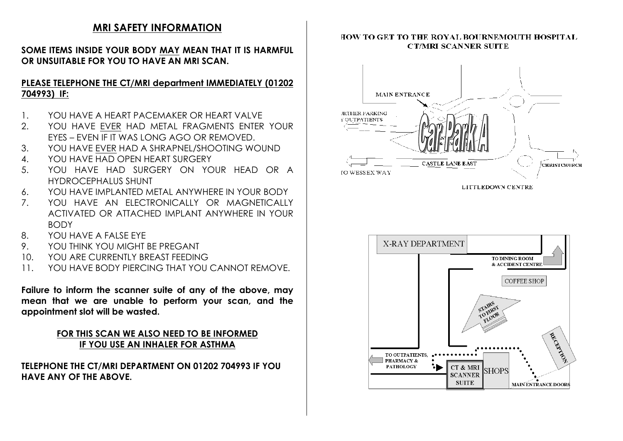## **MRI SAFETY INFORMATION**

### **SOME ITEMS INSIDE YOUR BODY MAY MEAN THAT IT IS HARMFUL OR UNSUITABLE FOR YOU TO HAVE AN MRI SCAN.**

## **PLEASE TELEPHONE THE CT/MRI department IMMEDIATELY (01202 704993) IF:**

- 1. YOU HAVE A HEART PACEMAKER OR HEART VALVE
- 2. YOU HAVE EVER HAD METAL FRAGMENTS ENTER YOUR EYES – EVEN IF IT WAS LONG AGO OR REMOVED.
- 3. YOU HAVE EVER HAD A SHRAPNEL/SHOOTING WOUND
- 4. YOU HAVE HAD OPEN HEART SURGERY
- 5. YOU HAVE HAD SURGERY ON YOUR HEAD OR A HYDROCEPHALUS SHUNT
- 6. YOU HAVE IMPLANTED METAL ANYWHERE IN YOUR BODY
- 7. YOU HAVE AN ELECTRONICALLY OR MAGNETICALLY ACTIVATED OR ATTACHED IMPLANT ANYWHERE IN YOUR BODY
- 8. YOU HAVE A FALSE EYE
- 9. YOU THINK YOU MIGHT BE PREGANT
- 10. YOU ARE CURRENTLY BREAST FEEDING
- 11. YOU HAVE BODY PIERCING THAT YOU CANNOT REMOVE.

**Failure to inform the scanner suite of any of the above, may mean that we are unable to perform your scan, and the appointment slot will be wasted.**

## **FOR THIS SCAN WE ALSO NEED TO BE INFORMED IF YOU USE AN INHALER FOR ASTHMA**

**TELEPHONE THE CT/MRI DEPARTMENT ON 01202 704993 IF YOU HAVE ANY OF THE ABOVE.**

#### HOW TO GET TO THE ROYAL BOURNEMOUTH HOSPITAL **CT/MRI SCANNER SUITE**



LITTLEDOWN CENTRE

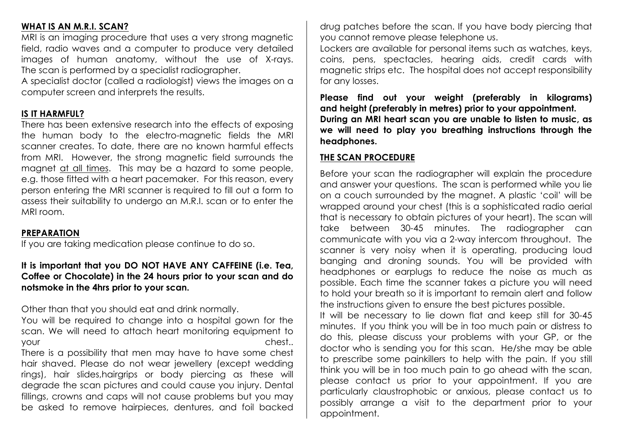## **WHAT IS AN M.R.I. SCAN?**

MRI is an imaging procedure that uses a very strong magnetic field, radio waves and a computer to produce very detailed images of human anatomy, without the use of X-rays. The scan is performed by a specialist radiographer.

A specialist doctor (called a radiologist) views the images on a computer screen and interprets the results.

## **IS IT HARMFUL?**

There has been extensive research into the effects of exposing the human body to the electro-magnetic fields the MRI scanner creates. To date, there are no known harmful effects from MRI. However, the strong magnetic field surrounds the magnet at all times. This may be a hazard to some people, e.g. those fitted with a heart pacemaker. For this reason, every person entering the MRI scanner is required to fill out a form to assess their suitability to undergo an M.R.I. scan or to enter the MRI room.

#### **PREPARATION**

If you are taking medication please continue to do so.

#### **It is important that you DO NOT HAVE ANY CAFFEINE (i.e. Tea, Coffee or Chocolate) in the 24 hours prior to your scan and do notsmoke in the 4hrs prior to your scan.**

Other than that you should eat and drink normally.

You will be required to change into a hospital gown for the scan. We will need to attach heart monitoring equipment to your chest..

There is a possibility that men may have to have some chest hair shaved. Please do not wear jewellery (except wedding rings), hair slides,hairgrips or body piercing as these will degrade the scan pictures and could cause you injury. Dental fillings, crowns and caps will not cause problems but you may be asked to remove hairpieces, dentures, and foil backed

drug patches before the scan. If you have body piercing that you cannot remove please telephone us.

Lockers are available for personal items such as watches, keys, coins, pens, spectacles, hearing aids, credit cards with magnetic strips etc. The hospital does not accept responsibility for any losses.

**Please find out your weight (preferably in kilograms) and height (preferably in metres) prior to your appointment. During an MRI heart scan you are unable to listen to music, as we will need to play you breathing instructions through the headphones.** 

#### **THE SCAN PROCEDURE**

Before your scan the radiographer will explain the procedure and answer your questions. The scan is performed while you lie on a couch surrounded by the magnet. A plastic 'coil' will be wrapped around your chest (this is a sophisticated radio aerial that is necessary to obtain pictures of your heart). The scan will take between 30-45 minutes. The radiographer can communicate with you via a 2-way intercom throughout. The scanner is very noisy when it is operating, producing loud banging and droning sounds. You will be provided with headphones or earplugs to reduce the noise as much as possible. Each time the scanner takes a picture you will need to hold your breath so it is important to remain alert and follow the instructions given to ensure the best pictures possible.

It will be necessary to lie down flat and keep still for 30-45 minutes. If you think you will be in too much pain or distress to do this, please discuss your problems with your GP, or the doctor who is sending you for this scan. He/she may be able to prescribe some painkillers to help with the pain. If you still think you will be in too much pain to go ahead with the scan, please contact us prior to your appointment. If you are particularly claustrophobic or anxious, please contact us to possibly arrange a visit to the department prior to your appointment.